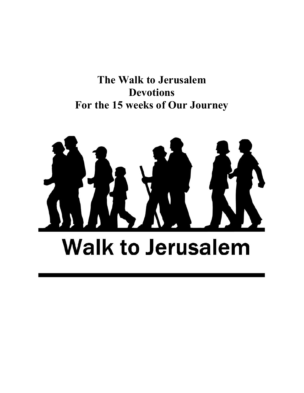The Walk to Jerusalem Devotions For the 15 weeks of Our Journey

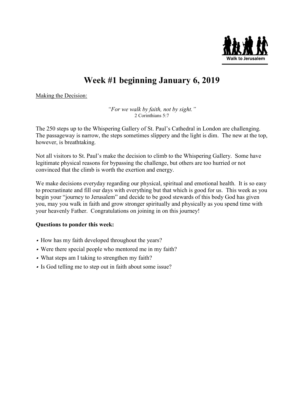

# Week #1 beginning January 6, 2019

Making the Decision:

"For we walk by faith, not by sight." 2 Corinthians 5:7

The 250 steps up to the Whispering Gallery of St. Paul's Cathedral in London are challenging. The passageway is narrow, the steps sometimes slippery and the light is dim. The new at the top, however, is breathtaking.

Not all visitors to St. Paul's make the decision to climb to the Whispering Gallery. Some have legitimate physical reasons for bypassing the challenge, but others are too hurried or not convinced that the climb is worth the exertion and energy.

We make decisions everyday regarding our physical, spiritual and emotional health. It is so easy to procrastinate and fill our days with everything but that which is good for us. This week as you begin your "journey to Jerusalem" and decide to be good stewards of this body God has given you, may you walk in faith and grow stronger spiritually and physically as you spend time with your heavenly Father. Congratulations on joining in on this journey!

- How has my faith developed throughout the years?
- Were there special people who mentored me in my faith?
- What steps am I taking to strengthen my faith?
- Is God telling me to step out in faith about some issue?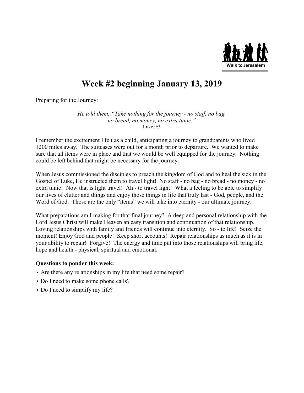

### Week #2 beginning January 13, 2019

Preparing for the Journey:

He told them, "Take nothing for the journey - no staff, no bag, no bread, no money, no extra tunic." Luke  $9.3$ 

I remember the excitement I felt as a child, anticipating a journey to grandparents who lived 1200 miles away. The suitcases were out for a month prior to departure. We wanted to make sure that all items were in place and that we would be well equipped for the journey. Nothing could be left behind that might be necessary for the journey.

When Jesus commissioned the disciples to preach the kingdom of God and to heal the sick in the Gospel of Luke, He instructed them to travel light! No staff - no bag - no bread - no money - no extra tunic! Now that is light travel! Ah - to travel light! What a feeling to be able to simplify our lives of clutter and things and enjoy those things in life that truly last - God, people, and the Word of God. Those are the only "items" we will take into eternity - our ultimate journey.

What preparations am I making for that final journey? A deep and personal relationship with the Lord Jesus Christ will make Heaven an easy transition and continuation of that relationship. Loving relationships with family and friends will continue into eternity. So - to life! Seize the moment! Enjoy God and people! Keep short accounts! Repair relationships as much as it is in your ability to repair! Forgive! The energy and time put into those relationships will bring life, hope and health - physical, spiritual and emotional.

- Are there any relationships in my life that need some repair?
- Do I need to make some phone calls?
- Do I need to simplify my life?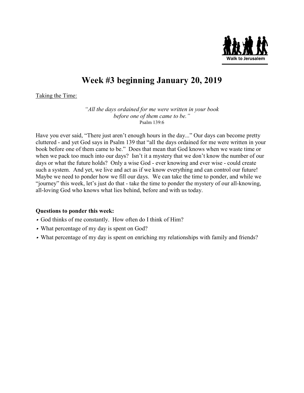

## Week #3 beginning January 20, 2019

Taking the Time:

"All the days ordained for me were written in your book before one of them came to be." Psalm 139:6

Have you ever said, "There just aren't enough hours in the day..." Our days can become pretty cluttered - and yet God says in Psalm 139 that "all the days ordained for me were written in your book before one of them came to be." Does that mean that God knows when we waste time or when we pack too much into our days? Isn't it a mystery that we don't know the number of our days or what the future holds? Only a wise God - ever knowing and ever wise - could create such a system. And yet, we live and act as if we know everything and can control our future! Maybe we need to ponder how we fill our days. We can take the time to ponder, and while we "journey" this week, let's just do that - take the time to ponder the mystery of our all-knowing, all-loving God who knows what lies behind, before and with us today.

- God thinks of me constantly. How often do I think of Him?
- What percentage of my day is spent on God?
- What percentage of my day is spent on enriching my relationships with family and friends?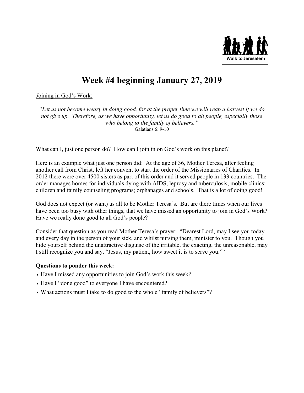

# Week #4 beginning January 27, 2019

Joining in God's Work:

"Let us not become weary in doing good, for at the proper time we will reap a harvest if we do not give up. Therefore, as we have opportunity, let us do good to all people, especially those who belong to the family of believers." Galatians 6: 9-10

What can I, just one person do? How can I join in on God's work on this planet?

Here is an example what just one person did: At the age of 36, Mother Teresa, after feeling another call from Christ, left her convent to start the order of the Missionaries of Charities. In 2012 there were over 4500 sisters as part of this order and it served people in 133 countries. The order manages homes for individuals dying with AIDS, leprosy and tuberculosis; mobile clinics; children and family counseling programs; orphanages and schools. That is a lot of doing good!

God does not expect (or want) us all to be Mother Teresa's. But are there times when our lives have been too busy with other things, that we have missed an opportunity to join in God's Work? Have we really done good to all God's people?

Consider that question as you read Mother Teresa's prayer: "Dearest Lord, may I see you today and every day in the person of your sick, and whilst nursing them, minister to you. Though you hide yourself behind the unattractive disguise of the irritable, the exacting, the unreasonable, may I still recognize you and say, "Jesus, my patient, how sweet it is to serve you.""

- Have I missed any opportunities to join God's work this week?
- Have I "done good" to everyone I have encountered?
- What actions must I take to do good to the whole "family of believers"?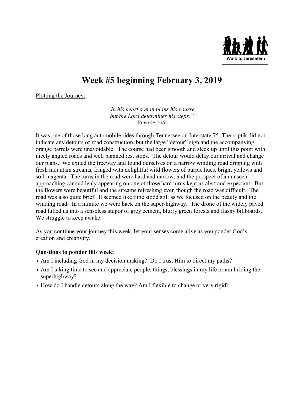

# Week #5 beginning February 3, 2019

Plotting the Journey:

"In his heart a man plans his course, but the Lord determines his steps." Proverbs 16:9

It was one of those long automobile rides through Tennessee on Interstate 75. The triptik did not indicate any detours or road construction, but the large "detour" sign and the accompanying orange barrels were unavoidable. The course had been smooth and sleek up until this point with nicely angled roads and well planned rest stops. The detour would delay our arrival and change our plans. We exited the freeway and found ourselves on a narrow winding road dripping with fresh mountain streams, fringed with delightful wild flowers of purple hues, bright yellows and soft magenta. The turns in the road were hard and narrow, and the prospect of an unseen approaching car suddenly appearing on one of those hard turns kept us alert and expectant. But the flowers were beautiful and the streams refreshing even though the road was difficult. The road was also quite brief. It seemed like time stood still as we focused on the beauty and the winding road. In a minute we were back on the super-highway. The drone of the widely paved road lulled us into a senseless stupor of grey cement, blurry green forests and flashy billboards. We struggle to keep awake.

As you continue your journey this week, let your senses come alive as you ponder God's creation and creativity.

- Am I including God in my decision making? Do I trust Him to direct my paths?
- Am I taking time to see and appreciate people, things, blessings in my life or am I riding the superhighway?
- How do I handle detours along the way? Am I flexible to change or very rigid?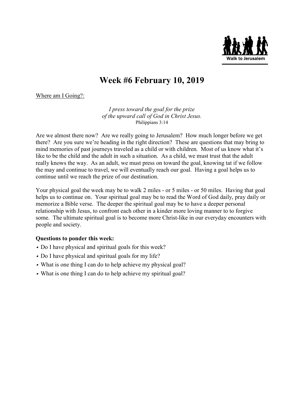

### Week #6 February 10, 2019

Where am I Going?:

I press toward the goal for the prize of the upward call of God in Christ Jesus. Philippians 3:14

Are we almost there now? Are we really going to Jerusalem? How much longer before we get there? Are you sure we're heading in the right direction? These are questions that may bring to mind memories of past journeys traveled as a child or with children. Most of us know what it's like to be the child and the adult in such a situation. As a child, we must trust that the adult really knows the way. As an adult, we must press on toward the goal, knowing tat if we follow the may and continue to travel, we will eventually reach our goal. Having a goal helps us to continue until we reach the prize of our destination.

Your physical goal the week may be to walk 2 miles - or 5 miles - or 50 miles. Having that goal helps us to continue on. Your spiritual goal may be to read the Word of God daily, pray daily or memorize a Bible verse. The deeper the spiritual goal may be to have a deeper personal relationship with Jesus, to confront each other in a kinder more loving manner to to forgive some. The ultimate spiritual goal is to become more Christ-like in our everyday encounters with people and society.

- Do I have physical and spiritual goals for this week?
- Do I have physical and spiritual goals for my life?
- What is one thing I can do to help achieve my physical goal?
- What is one thing I can do to help achieve my spiritual goal?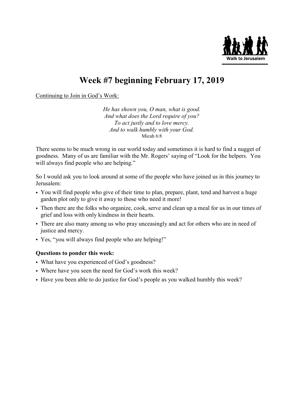

## Week #7 beginning February 17, 2019

Continuing to Join in God's Work:

He has shown you, O man, what is good. And what does the Lord require of you? To act justly and to love mercy. And to walk humbly with your God. Micah 6:8

There seems to be much wrong in our world today and sometimes it is hard to find a nugget of goodness. Many of us are familiar with the Mr. Rogers' saying of "Look for the helpers. You will always find people who are helping."

So I would ask you to look around at some of the people who have joined us in this journey to Jerusalem:

- You will find people who give of their time to plan, prepare, plant, tend and harvest a huge garden plot only to give it away to those who need it more!
- Then there are the folks who organize, cook, serve and clean up a meal for us in our times of grief and loss with only kindness in their hearts.
- There are also many among us who pray unceasingly and act for others who are in need of justice and mercy.
- Yes, "you will always find people who are helping!"

- What have you experienced of God's goodness?
- Where have you seen the need for God's work this week?
- Have you been able to do justice for God's people as you walked humbly this week?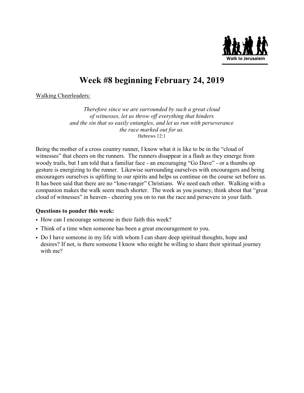

# Week #8 beginning February 24, 2019

Walking Cheerleaders:

Therefore since we are surrounded by such a great cloud of witnesses, let us throw off everything that hinders and the sin that so easily entangles, and let us run with perseverance the race marked out for us. Hebrews 12:1

Being the mother of a cross country runner, I know what it is like to be in the "cloud of witnesses" that cheers on the runners. The runners disappear in a flash as they emerge from woody trails, but I am told that a familiar face - an encouraging "Go Dave" - or a thumbs up gesture is energizing to the runner. Likewise surrounding ourselves with encouragers and being encouragers ourselves is uplifting to our spirits and helps us continue on the course set before us. It has been said that there are no "lone-ranger" Christians. We need each other. Walking with a companion makes the walk seem much shorter. The week as you journey, think about that "great cloud of witnesses" in heaven - cheering you on to run the race and persevere in your faith.

- How can I encourage someone in their faith this week?
- Think of a time when someone has been a great encouragement to you.
- Do I have someone in my life with whom I can share deep spiritual thoughts, hope and desires? If not, is there someone I know who might be willing to share their spiritual journey with me?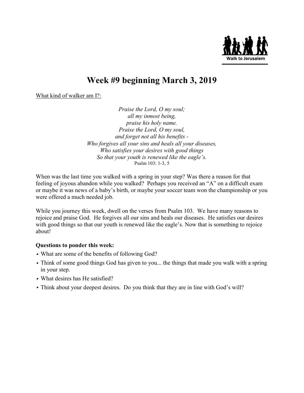

## Week #9 beginning March 3, 2019

What kind of walker am I?:

Praise the Lord, O my soul; all my inmost being, praise his holy name. Praise the Lord, O my soul, and forget not all his benefits - Who forgives all your sins and heals all your diseases, Who satisfies your desires with good things So that your youth is renewed like the eagle's. Psalm 103: 1-3, 5

When was the last time you walked with a spring in your step? Was there a reason for that feeling of joyous abandon while you walked? Perhaps you received an "A" on a difficult exam or maybe it was news of a baby's birth, or maybe your soccer team won the championship or you were offered a much needed job.

While you journey this week, dwell on the verses from Psalm 103. We have many reasons to rejoice and praise God. He forgives all our sins and heals our diseases. He satisfies our desires with good things so that our youth is renewed like the eagle's. Now that is something to rejoice about!

- What are some of the benefits of following God?
- Think of some good things God has given to you... the things that made you walk with a spring in your step.
- What desires has He satisfied?
- Think about your deepest desires. Do you think that they are in line with God's will?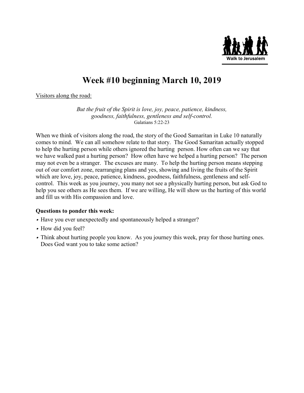

## Week #10 beginning March 10, 2019

Visitors along the road:

But the fruit of the Spirit is love, joy, peace, patience, kindness, goodness, faithfulness, gentleness and self-control. Galatians 5:22-23

When we think of visitors along the road, the story of the Good Samaritan in Luke 10 naturally comes to mind. We can all somehow relate to that story. The Good Samaritan actually stopped to help the hurting person while others ignored the hurting person. How often can we say that we have walked past a hurting person? How often have we helped a hurting person? The person may not even be a stranger. The excuses are many. To help the hurting person means stepping out of our comfort zone, rearranging plans and yes, showing and living the fruits of the Spirit which are love, joy, peace, patience, kindness, goodness, faithfulness, gentleness and selfcontrol. This week as you journey, you many not see a physically hurting person, but ask God to help you see others as He sees them. If we are willing, He will show us the hurting of this world and fill us with His compassion and love.

- Have you ever unexpectedly and spontaneously helped a stranger?
- How did you feel?
- Think about hurting people you know. As you journey this week, pray for those hurting ones. Does God want you to take some action?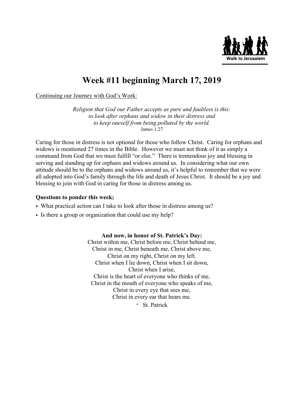

### Week #11 beginning March 17, 2019

Continuing our Journey with God's Work:

Religion that God our Father accepts as pure and faultless is this: to look after orphans and widow in their distress and to keep oneself from being polluted by the world. James 1:27

Caring for those in distress is not optional for those who follow Christ. Caring for orphans and widows is mentioned 27 times in the Bible. However we must not think of it as simply a command from God that we must fulfill "or else." There is tremendous joy and blessing in serving and standing up for orphans and widows around us. In considering what our own attitude should be to the orphans and widows around us, it's helpful to remember that we were all adopted into God's family through the life and death of Jesus Christ. It should be a joy and blessing to join with God in caring for those in distress among us.

#### Questions to ponder this week;

- What practical action can I take to look after those in distress among us?
- Is there a group or organization that could use my help?

#### And now, in honor of St. Patrick's Day:

Christ within me, Christ before me, Christ behind me, Christ in me, Christ beneath me, Christ above me, Christ on my right, Christ on my left. Christ when I lie down, Christ when I sit down, Christ when I arise, Christ is the heart of everyone who thinks of me, Christ in the mouth of everyone who speaks of me, Christ in every eye that sees me, Christ in every ear that hears me.

- St. Patrick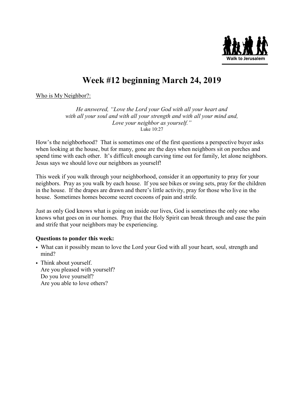

## Week #12 beginning March 24, 2019

Who is My Neighbor?:

He answered, "Love the Lord your God with all your heart and with all your soul and with all your strength and with all your mind and, Love your neighbor as yourself." Luke 10:27

How's the neighborhood? That is sometimes one of the first questions a perspective buyer asks when looking at the house, but for many, gone are the days when neighbors sit on porches and spend time with each other. It's difficult enough carving time out for family, let alone neighbors. Jesus says we should love our neighbors as yourself!

This week if you walk through your neighborhood, consider it an opportunity to pray for your neighbors. Pray as you walk by each house. If you see bikes or swing sets, pray for the children in the house. If the drapes are drawn and there's little activity, pray for those who live in the house. Sometimes homes become secret cocoons of pain and strife.

Just as only God knows what is going on inside our lives, God is sometimes the only one who knows what goes on in our homes. Pray that the Holy Spirit can break through and ease the pain and strife that your neighbors may be experiencing.

- What can it possibly mean to love the Lord your God with all your heart, soul, strength and mind?
- Think about yourself. Are you pleased with yourself? Do you love yourself? Are you able to love others?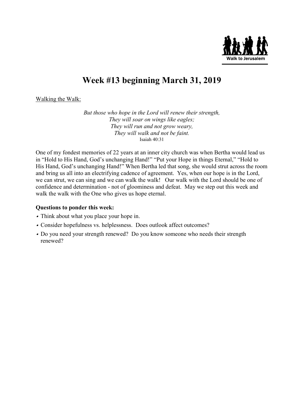

### Week #13 beginning March 31, 2019

Walking the Walk:

But those who hope in the Lord will renew their strength, They will soar on wings like eagles; They will run and not grow weary, They will walk and not be faint. Isaiah 40:31

One of my fondest memories of 22 years at an inner city church was when Bertha would lead us in "Hold to His Hand, God's unchanging Hand!" "Put your Hope in things Eternal," "Hold to His Hand, God's unchanging Hand!" When Bertha led that song, she would strut across the room and bring us all into an electrifying cadence of agreement. Yes, when our hope is in the Lord, we can strut, we can sing and we can walk the walk! Our walk with the Lord should be one of confidence and determination - not of gloominess and defeat. May we step out this week and walk the walk with the One who gives us hope eternal.

- Think about what you place your hope in.
- Consider hopefulness vs. helplessness. Does outlook affect outcomes?
- Do you need your strength renewed? Do you know someone who needs their strength renewed?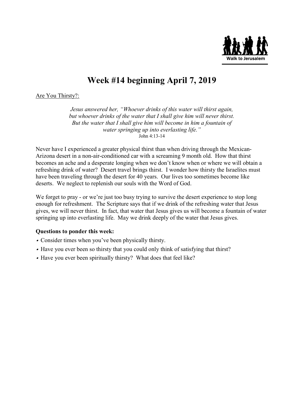

# Week #14 beginning April 7, 2019

Are You Thirsty?:

Jesus answered her, "Whoever drinks of this water will thirst again, but whoever drinks of the water that I shall give him will never thirst. But the water that I shall give him will become in him a fountain of water springing up into everlasting life." John 4:13-14

Never have I experienced a greater physical thirst than when driving through the Mexican-Arizona desert in a non-air-conditioned car with a screaming 9 month old. How that thirst becomes an ache and a desperate longing when we don't know when or where we will obtain a refreshing drink of water? Desert travel brings thirst. I wonder how thirsty the Israelites must have been traveling through the desert for 40 years. Our lives too sometimes become like deserts. We neglect to replenish our souls with the Word of God.

We forget to pray - or we're just too busy trying to survive the desert experience to stop long enough for refreshment. The Scripture says that if we drink of the refreshing water that Jesus gives, we will never thirst. In fact, that water that Jesus gives us will become a fountain of water springing up into everlasting life. May we drink deeply of the water that Jesus gives.

- Consider times when you've been physically thirsty.
- Have you ever been so thirsty that you could only think of satisfying that thirst?
- Have you ever been spiritually thirsty? What does that feel like?